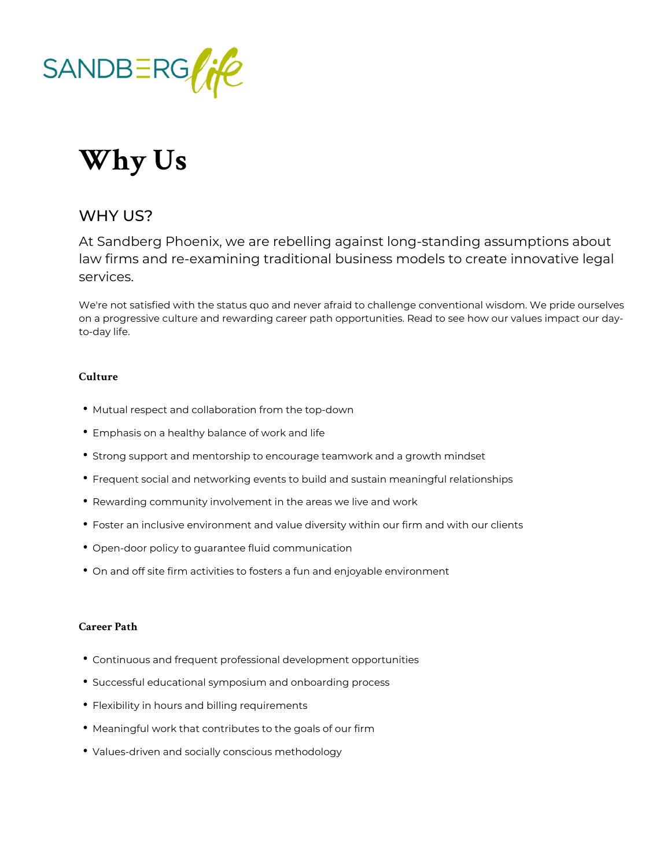

## **Why Us**

## WHY US?

At Sandberg Phoenix, we are rebelling against long-standing assumptions about law firms and re-examining traditional business models to create innovative legal services.

We're not satisfied with the status quo and never afraid to challenge conventional wisdom. We pride ourselves on a progressive culture and rewarding career path opportunities. Read to see how our values impact our dayto-day life.

## **Culture**

- Mutual respect and collaboration from the top-down
- Emphasis on a healthy balance of work and life
- Strong support and mentorship to encourage teamwork and a growth mindset
- Frequent social and networking events to build and sustain meaningful relationships
- Rewarding community involvement in the areas we live and work
- Foster an inclusive environment and value diversity within our firm and with our clients
- Open-door policy to guarantee fluid communication
- On and off site firm activities to fosters a fun and enjoyable environment

## **Career Path**

- Continuous and frequent professional development opportunities
- Successful educational symposium and onboarding process
- Flexibility in hours and billing requirements
- Meaningful work that contributes to the goals of our firm
- Values-driven and socially conscious methodology